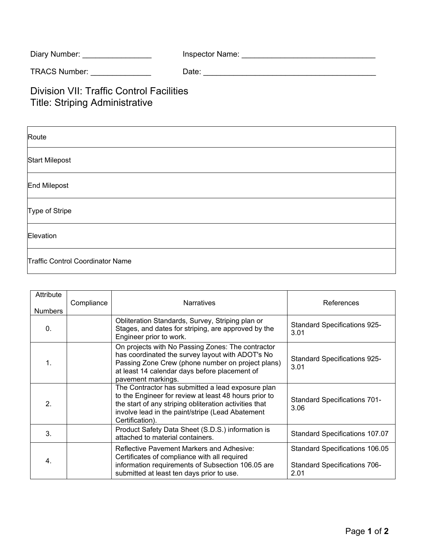| Diary Number: | <b>Inspector Name:</b> |  |
|---------------|------------------------|--|
|               |                        |  |

TRACS Number: \_\_\_\_\_\_\_\_\_\_\_\_\_\_ Date: \_\_\_\_\_\_\_\_\_\_\_\_\_\_\_\_\_\_\_\_\_\_\_\_\_\_\_\_\_\_\_\_\_\_\_\_\_\_\_\_

## Division VII: Traffic Control Facilities Title: Striping Administrative

| Route                            |
|----------------------------------|
| <b>Start Milepost</b>            |
| <b>End Milepost</b>              |
| Type of Stripe                   |
| Elevation                        |
| Traffic Control Coordinator Name |

| Attribute<br><b>Numbers</b> | Compliance | <b>Narratives</b>                                                                                                                                                                                                                           | References                                                                    |
|-----------------------------|------------|---------------------------------------------------------------------------------------------------------------------------------------------------------------------------------------------------------------------------------------------|-------------------------------------------------------------------------------|
| $\mathbf{0}$                |            | Obliteration Standards, Survey, Striping plan or<br>Stages, and dates for striping, are approved by the<br>Engineer prior to work.                                                                                                          | <b>Standard Specifications 925-</b><br>3.01                                   |
| 1.                          |            | On projects with No Passing Zones: The contractor<br>has coordinated the survey layout with ADOT's No<br>Passing Zone Crew (phone number on project plans)<br>at least 14 calendar days before placement of<br>pavement markings.           | <b>Standard Specifications 925-</b><br>3.01                                   |
| 2.                          |            | The Contractor has submitted a lead exposure plan<br>to the Engineer for review at least 48 hours prior to<br>the start of any striping obliteration activities that<br>involve lead in the paint/stripe (Lead Abatement<br>Certification). | <b>Standard Specifications 701-</b><br>3.06                                   |
| 3 <sub>1</sub>              |            | Product Safety Data Sheet (S.D.S.) information is<br>attached to material containers.                                                                                                                                                       | <b>Standard Specifications 107.07</b>                                         |
| 4.                          |            | <b>Reflective Pavement Markers and Adhesive:</b><br>Certificates of compliance with all required<br>information requirements of Subsection 106.05 are<br>submitted at least ten days prior to use.                                          | Standard Specifications 106.05<br><b>Standard Specifications 706-</b><br>2.01 |